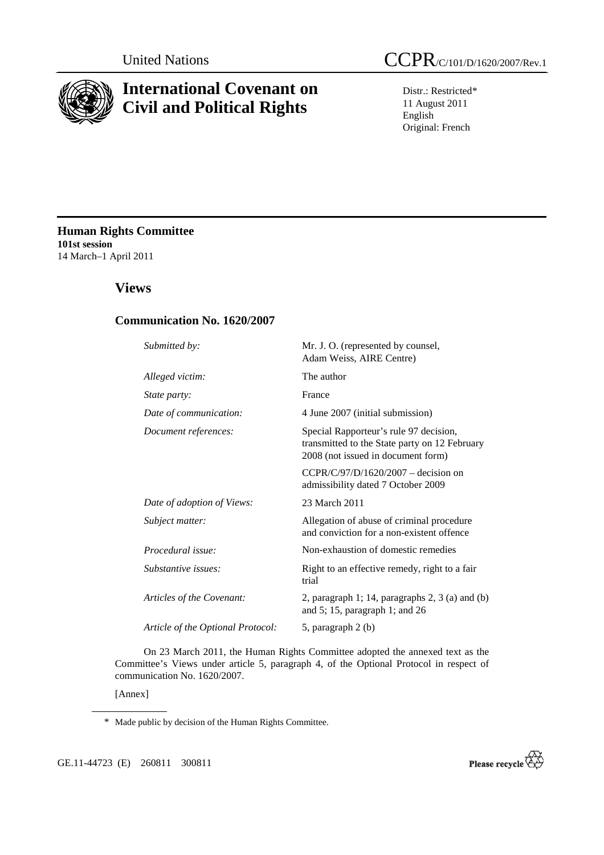

# **International Covenant on Civil and Political Rights**

Distr.: Restricted\* 11 August 2011 English Original: French

**Human Rights Committee 101st session**  14 March–1 April 2011

# **Views**

## **Communication No. 1620/2007**

| Submitted by:                     | Mr. J. O. (represented by counsel,<br>Adam Weiss, AIRE Centre)                                                                |
|-----------------------------------|-------------------------------------------------------------------------------------------------------------------------------|
| Alleged victim:                   | The author                                                                                                                    |
| State party:                      | France                                                                                                                        |
| Date of communication:            | 4 June 2007 (initial submission)                                                                                              |
| Document references:              | Special Rapporteur's rule 97 decision,<br>transmitted to the State party on 12 February<br>2008 (not issued in document form) |
|                                   | $CCPR/C/97/D/1620/2007 - decision on$<br>admissibility dated 7 October 2009                                                   |
| Date of adoption of Views:        | 23 March 2011                                                                                                                 |
| Subject matter:                   | Allegation of abuse of criminal procedure<br>and conviction for a non-existent offence                                        |
| Procedural issue:                 | Non-exhaustion of domestic remedies                                                                                           |
| Substantive issues:               | Right to an effective remedy, right to a fair<br>trial                                                                        |
| Articles of the Covenant:         | 2, paragraph 1; 14, paragraphs $2$ , $3$ (a) and (b)<br>and 5; 15, paragraph 1; and $26$                                      |
| Article of the Optional Protocol: | 5, paragraph 2 (b)                                                                                                            |

 On 23 March 2011, the Human Rights Committee adopted the annexed text as the Committee's Views under article 5, paragraph 4, of the Optional Protocol in respect of communication No. 1620/2007.

[Annex]



<sup>\*</sup> Made public by decision of the Human Rights Committee.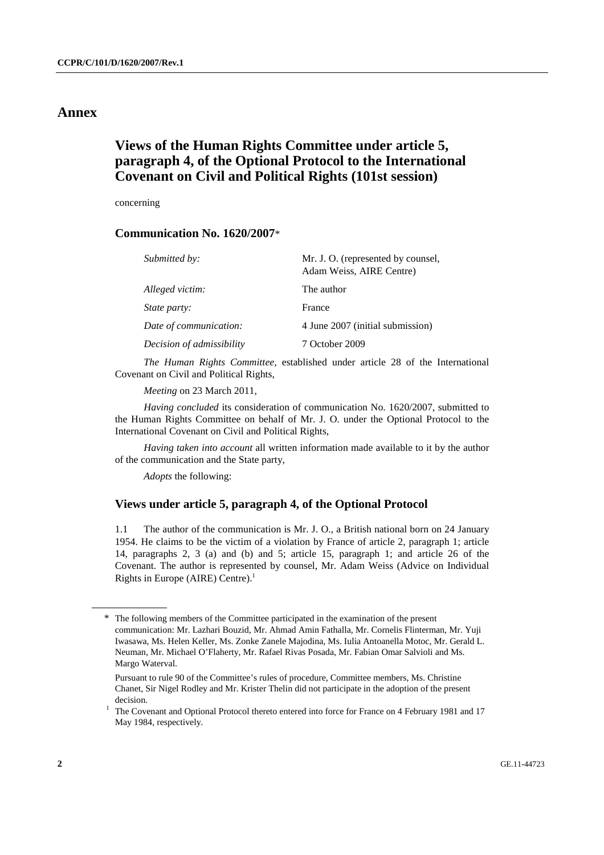### **Annex**

# **Views of the Human Rights Committee under article 5, paragraph 4, of the Optional Protocol to the International Covenant on Civil and Political Rights (101st session)**

concerning

## **Communication No. 1620/2007**\*

| Submitted by:             | Mr. J. O. (represented by counsel,<br>Adam Weiss, AIRE Centre) |
|---------------------------|----------------------------------------------------------------|
| Alleged victim:           | The author                                                     |
| <i>State party:</i>       | France                                                         |
| Date of communication:    | 4 June 2007 (initial submission)                               |
| Decision of admissibility | 7 October 2009                                                 |

*The Human Rights Committee,* established under article 28 of the International Covenant on Civil and Political Rights,

*Meeting* on 23 March 2011,

*Having concluded* its consideration of communication No. 1620/2007, submitted to the Human Rights Committee on behalf of Mr. J. O. under the Optional Protocol to the International Covenant on Civil and Political Rights,

*Having taken into account* all written information made available to it by the author of the communication and the State party,

*Adopts* the following:

#### **Views under article 5, paragraph 4, of the Optional Protocol**

1.1 The author of the communication is Mr. J. O., a British national born on 24 January 1954. He claims to be the victim of a violation by France of article 2, paragraph 1; article 14, paragraphs 2, 3 (a) and (b) and 5; article 15, paragraph 1; and article 26 of the Covenant. The author is represented by counsel, Mr. Adam Weiss (Advice on Individual Rights in Europe (AIRE) Centre). $<sup>1</sup>$ </sup>

<sup>\*</sup> The following members of the Committee participated in the examination of the present communication: Mr. Lazhari Bouzid, Mr. Ahmad Amin Fathalla, Mr. Cornelis Flinterman, Mr. Yuji Iwasawa, Ms. Helen Keller, Ms. Zonke Zanele Majodina, Ms. Iulia Antoanella Motoc, Mr. Gerald L. Neuman, Mr. Michael O'Flaherty, Mr. Rafael Rivas Posada, Mr. Fabian Omar Salvioli and Ms. Margo Waterval.

Pursuant to rule 90 of the Committee's rules of procedure, Committee members, Ms. Christine Chanet, Sir Nigel Rodley and Mr. Krister Thelin did not participate in the adoption of the present decision.

<sup>&</sup>lt;sup>1</sup> The Covenant and Optional Protocol thereto entered into force for France on 4 February 1981 and 17 May 1984, respectively.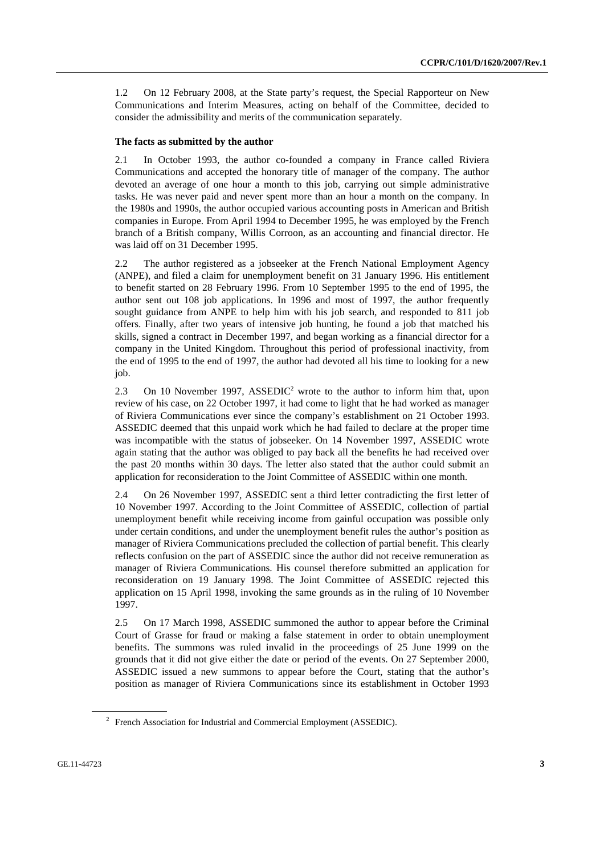1.2 On 12 February 2008, at the State party's request, the Special Rapporteur on New Communications and Interim Measures, acting on behalf of the Committee, decided to consider the admissibility and merits of the communication separately.

#### **The facts as submitted by the author**

2.1 In October 1993, the author co-founded a company in France called Riviera Communications and accepted the honorary title of manager of the company. The author devoted an average of one hour a month to this job, carrying out simple administrative tasks. He was never paid and never spent more than an hour a month on the company. In the 1980s and 1990s, the author occupied various accounting posts in American and British companies in Europe. From April 1994 to December 1995, he was employed by the French branch of a British company, Willis Corroon, as an accounting and financial director. He was laid off on 31 December 1995.

2.2 The author registered as a jobseeker at the French National Employment Agency (ANPE), and filed a claim for unemployment benefit on 31 January 1996. His entitlement to benefit started on 28 February 1996. From 10 September 1995 to the end of 1995, the author sent out 108 job applications. In 1996 and most of 1997, the author frequently sought guidance from ANPE to help him with his job search, and responded to 811 job offers. Finally, after two years of intensive job hunting, he found a job that matched his skills, signed a contract in December 1997, and began working as a financial director for a company in the United Kingdom. Throughout this period of professional inactivity, from the end of 1995 to the end of 1997, the author had devoted all his time to looking for a new job.

2.3 On 10 November 1997, ASSEDIC<sup>2</sup> wrote to the author to inform him that, upon review of his case, on 22 October 1997, it had come to light that he had worked as manager of Riviera Communications ever since the company's establishment on 21 October 1993. ASSEDIC deemed that this unpaid work which he had failed to declare at the proper time was incompatible with the status of jobseeker. On 14 November 1997, ASSEDIC wrote again stating that the author was obliged to pay back all the benefits he had received over the past 20 months within 30 days. The letter also stated that the author could submit an application for reconsideration to the Joint Committee of ASSEDIC within one month.

2.4 On 26 November 1997, ASSEDIC sent a third letter contradicting the first letter of 10 November 1997. According to the Joint Committee of ASSEDIC, collection of partial unemployment benefit while receiving income from gainful occupation was possible only under certain conditions, and under the unemployment benefit rules the author's position as manager of Riviera Communications precluded the collection of partial benefit. This clearly reflects confusion on the part of ASSEDIC since the author did not receive remuneration as manager of Riviera Communications. His counsel therefore submitted an application for reconsideration on 19 January 1998. The Joint Committee of ASSEDIC rejected this application on 15 April 1998, invoking the same grounds as in the ruling of 10 November 1997.

2.5 On 17 March 1998, ASSEDIC summoned the author to appear before the Criminal Court of Grasse for fraud or making a false statement in order to obtain unemployment benefits. The summons was ruled invalid in the proceedings of 25 June 1999 on the grounds that it did not give either the date or period of the events. On 27 September 2000, ASSEDIC issued a new summons to appear before the Court, stating that the author's position as manager of Riviera Communications since its establishment in October 1993

 $2$  French Association for Industrial and Commercial Employment (ASSEDIC).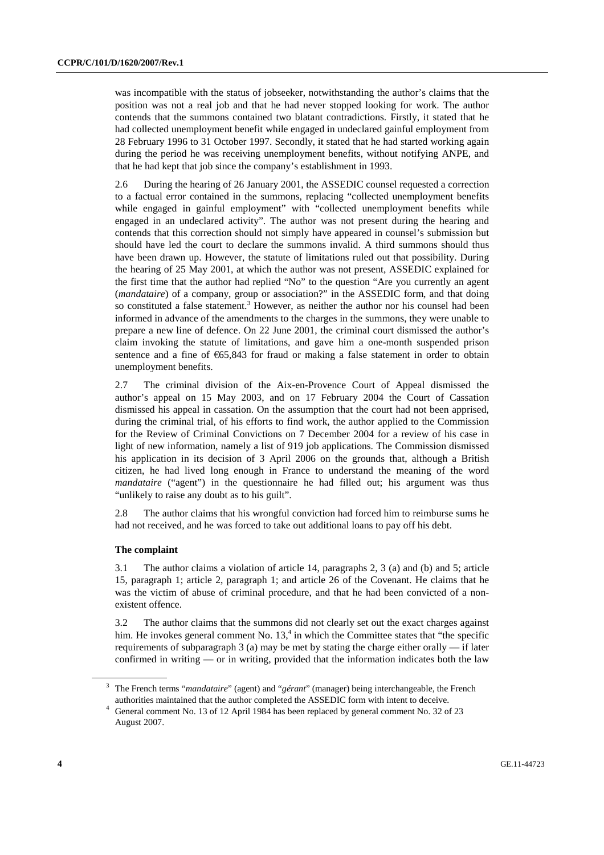was incompatible with the status of jobseeker, notwithstanding the author's claims that the position was not a real job and that he had never stopped looking for work. The author contends that the summons contained two blatant contradictions. Firstly, it stated that he had collected unemployment benefit while engaged in undeclared gainful employment from 28 February 1996 to 31 October 1997. Secondly, it stated that he had started working again during the period he was receiving unemployment benefits, without notifying ANPE, and that he had kept that job since the company's establishment in 1993.

2.6 During the hearing of 26 January 2001, the ASSEDIC counsel requested a correction to a factual error contained in the summons, replacing "collected unemployment benefits while engaged in gainful employment" with "collected unemployment benefits while engaged in an undeclared activity". The author was not present during the hearing and contends that this correction should not simply have appeared in counsel's submission but should have led the court to declare the summons invalid. A third summons should thus have been drawn up. However, the statute of limitations ruled out that possibility. During the hearing of 25 May 2001, at which the author was not present, ASSEDIC explained for the first time that the author had replied "No" to the question "Are you currently an agent (*mandataire*) of a company, group or association?" in the ASSEDIC form, and that doing so constituted a false statement.<sup>3</sup> However, as neither the author nor his counsel had been informed in advance of the amendments to the charges in the summons, they were unable to prepare a new line of defence. On 22 June 2001, the criminal court dismissed the author's claim invoking the statute of limitations, and gave him a one-month suspended prison sentence and a fine of €65,843 for fraud or making a false statement in order to obtain unemployment benefits.

2.7 The criminal division of the Aix-en-Provence Court of Appeal dismissed the author's appeal on 15 May 2003, and on 17 February 2004 the Court of Cassation dismissed his appeal in cassation. On the assumption that the court had not been apprised, during the criminal trial, of his efforts to find work, the author applied to the Commission for the Review of Criminal Convictions on 7 December 2004 for a review of his case in light of new information, namely a list of 919 job applications. The Commission dismissed his application in its decision of 3 April 2006 on the grounds that, although a British citizen, he had lived long enough in France to understand the meaning of the word *mandataire* ("agent") in the questionnaire he had filled out; his argument was thus "unlikely to raise any doubt as to his guilt".

2.8 The author claims that his wrongful conviction had forced him to reimburse sums he had not received, and he was forced to take out additional loans to pay off his debt.

#### **The complaint**

3.1 The author claims a violation of article 14, paragraphs 2, 3 (a) and (b) and 5; article 15, paragraph 1; article 2, paragraph 1; and article 26 of the Covenant. He claims that he was the victim of abuse of criminal procedure, and that he had been convicted of a nonexistent offence.

3.2 The author claims that the summons did not clearly set out the exact charges against him. He invokes general comment No. 13,<sup>4</sup> in which the Committee states that "the specific requirements of subparagraph 3 (a) may be met by stating the charge either orally — if later confirmed in writing — or in writing, provided that the information indicates both the law

<sup>&</sup>lt;sup>3</sup> The French terms "*mandataire*" (agent) and "*gérant*" (manager) being interchangeable, the French

authorities maintained that the author completed the ASSEDIC form with intent to deceive.<br><sup>4</sup> General comment No. 13 of 12 April 1984 has been replaced by general comment No. 32 of 23 August 2007.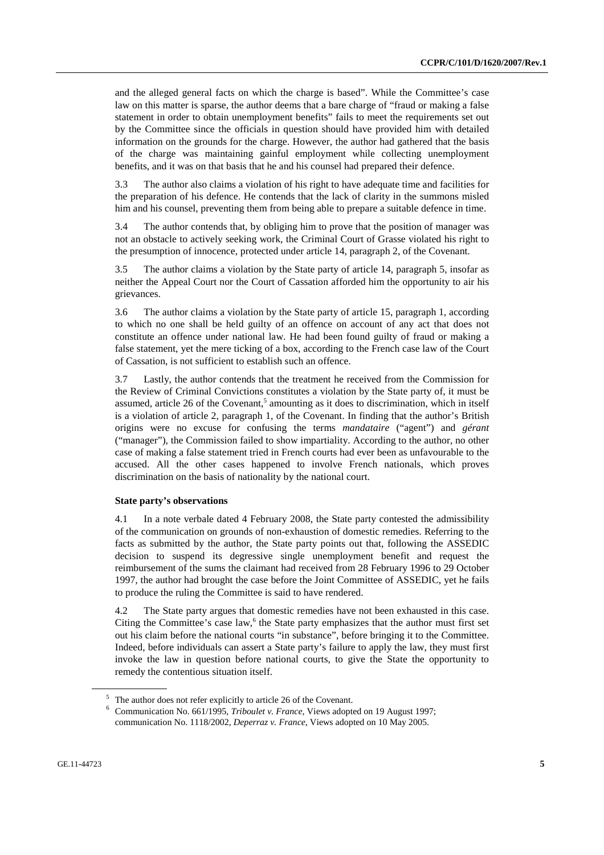and the alleged general facts on which the charge is based". While the Committee's case law on this matter is sparse, the author deems that a bare charge of "fraud or making a false statement in order to obtain unemployment benefits" fails to meet the requirements set out by the Committee since the officials in question should have provided him with detailed information on the grounds for the charge. However, the author had gathered that the basis of the charge was maintaining gainful employment while collecting unemployment benefits, and it was on that basis that he and his counsel had prepared their defence.

3.3 The author also claims a violation of his right to have adequate time and facilities for the preparation of his defence. He contends that the lack of clarity in the summons misled him and his counsel, preventing them from being able to prepare a suitable defence in time.

3.4 The author contends that, by obliging him to prove that the position of manager was not an obstacle to actively seeking work, the Criminal Court of Grasse violated his right to the presumption of innocence, protected under article 14, paragraph 2, of the Covenant.

3.5 The author claims a violation by the State party of article 14, paragraph 5, insofar as neither the Appeal Court nor the Court of Cassation afforded him the opportunity to air his grievances.

3.6 The author claims a violation by the State party of article 15, paragraph 1, according to which no one shall be held guilty of an offence on account of any act that does not constitute an offence under national law. He had been found guilty of fraud or making a false statement, yet the mere ticking of a box, according to the French case law of the Court of Cassation, is not sufficient to establish such an offence.

3.7 Lastly, the author contends that the treatment he received from the Commission for the Review of Criminal Convictions constitutes a violation by the State party of, it must be assumed, article 26 of the Covenant,<sup>5</sup> amounting as it does to discrimination, which in itself is a violation of article 2, paragraph 1, of the Covenant. In finding that the author's British origins were no excuse for confusing the terms *mandataire* ("agent") and *gérant* ("manager"), the Commission failed to show impartiality. According to the author, no other case of making a false statement tried in French courts had ever been as unfavourable to the accused. All the other cases happened to involve French nationals, which proves discrimination on the basis of nationality by the national court.

#### **State party's observations**

4.1 In a note verbale dated 4 February 2008, the State party contested the admissibility of the communication on grounds of non-exhaustion of domestic remedies. Referring to the facts as submitted by the author, the State party points out that, following the ASSEDIC decision to suspend its degressive single unemployment benefit and request the reimbursement of the sums the claimant had received from 28 February 1996 to 29 October 1997, the author had brought the case before the Joint Committee of ASSEDIC, yet he fails to produce the ruling the Committee is said to have rendered.

4.2 The State party argues that domestic remedies have not been exhausted in this case. Citing the Committee's case law,<sup>6</sup> the State party emphasizes that the author must first set out his claim before the national courts "in substance", before bringing it to the Committee. Indeed, before individuals can assert a State party's failure to apply the law, they must first invoke the law in question before national courts, to give the State the opportunity to remedy the contentious situation itself.

<sup>&</sup>lt;sup>5</sup> The author does not refer explicitly to article 26 of the Covenant.

<sup>6</sup> Communication No. 661/1995, *Triboulet v. France*, Views adopted on 19 August 1997; communication No. 1118/2002, *Deperraz v. France*, Views adopted on 10 May 2005.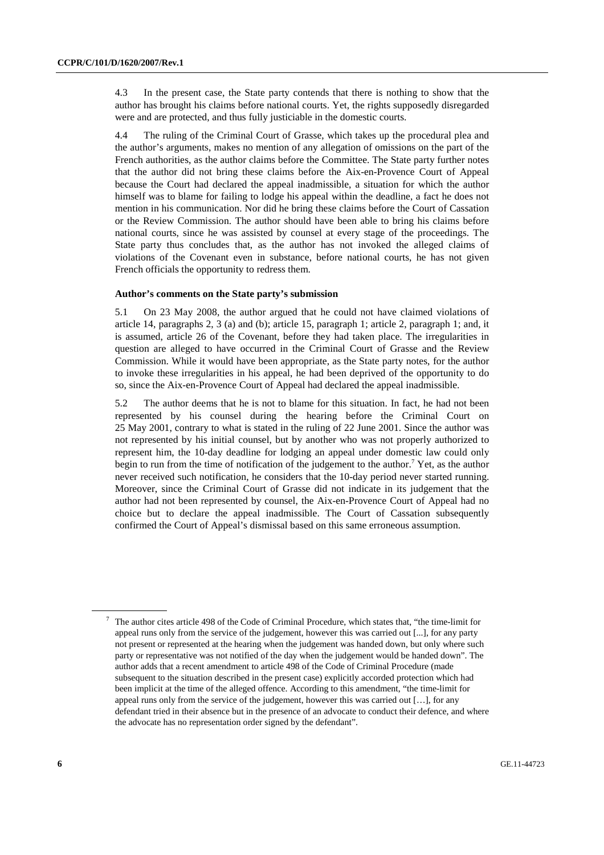4.3 In the present case, the State party contends that there is nothing to show that the author has brought his claims before national courts. Yet, the rights supposedly disregarded were and are protected, and thus fully justiciable in the domestic courts.

4.4 The ruling of the Criminal Court of Grasse, which takes up the procedural plea and the author's arguments, makes no mention of any allegation of omissions on the part of the French authorities, as the author claims before the Committee. The State party further notes that the author did not bring these claims before the Aix-en-Provence Court of Appeal because the Court had declared the appeal inadmissible, a situation for which the author himself was to blame for failing to lodge his appeal within the deadline, a fact he does not mention in his communication. Nor did he bring these claims before the Court of Cassation or the Review Commission. The author should have been able to bring his claims before national courts, since he was assisted by counsel at every stage of the proceedings. The State party thus concludes that, as the author has not invoked the alleged claims of violations of the Covenant even in substance, before national courts, he has not given French officials the opportunity to redress them.

#### **Author's comments on the State party's submission**

5.1 On 23 May 2008, the author argued that he could not have claimed violations of article 14, paragraphs 2, 3 (a) and (b); article 15, paragraph 1; article 2, paragraph 1; and, it is assumed, article 26 of the Covenant, before they had taken place. The irregularities in question are alleged to have occurred in the Criminal Court of Grasse and the Review Commission. While it would have been appropriate, as the State party notes, for the author to invoke these irregularities in his appeal, he had been deprived of the opportunity to do so, since the Aix-en-Provence Court of Appeal had declared the appeal inadmissible.

5.2 The author deems that he is not to blame for this situation. In fact, he had not been represented by his counsel during the hearing before the Criminal Court on 25 May 2001, contrary to what is stated in the ruling of 22 June 2001. Since the author was not represented by his initial counsel, but by another who was not properly authorized to represent him, the 10-day deadline for lodging an appeal under domestic law could only begin to run from the time of notification of the judgement to the author.<sup>7</sup> Yet, as the author never received such notification, he considers that the 10-day period never started running. Moreover, since the Criminal Court of Grasse did not indicate in its judgement that the author had not been represented by counsel, the Aix-en-Provence Court of Appeal had no choice but to declare the appeal inadmissible. The Court of Cassation subsequently confirmed the Court of Appeal's dismissal based on this same erroneous assumption.

<sup>7</sup> The author cites article 498 of the Code of Criminal Procedure, which states that, "the time-limit for appeal runs only from the service of the judgement, however this was carried out [...], for any party not present or represented at the hearing when the judgement was handed down, but only where such party or representative was not notified of the day when the judgement would be handed down". The author adds that a recent amendment to article 498 of the Code of Criminal Procedure (made subsequent to the situation described in the present case) explicitly accorded protection which had been implicit at the time of the alleged offence. According to this amendment, "the time-limit for appeal runs only from the service of the judgement, however this was carried out […], for any defendant tried in their absence but in the presence of an advocate to conduct their defence, and where the advocate has no representation order signed by the defendant".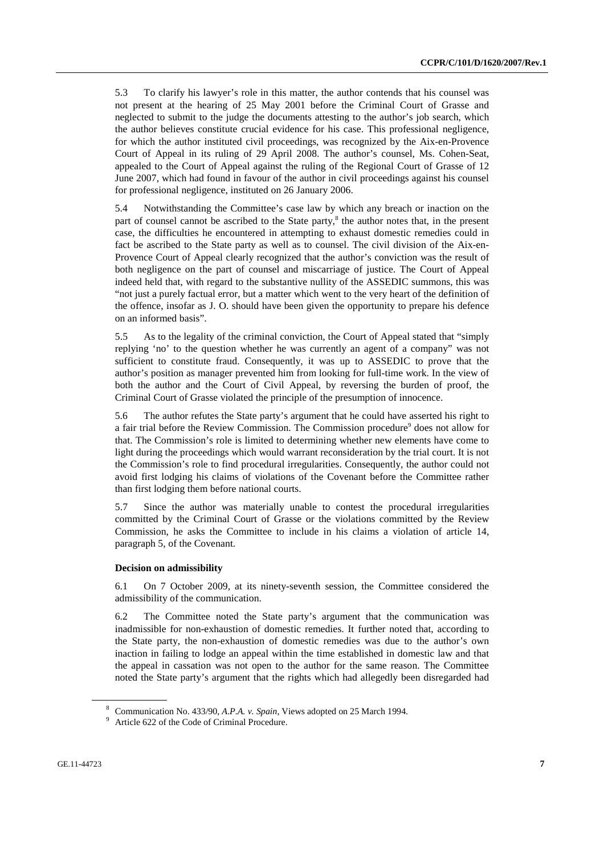5.3 To clarify his lawyer's role in this matter, the author contends that his counsel was not present at the hearing of 25 May 2001 before the Criminal Court of Grasse and neglected to submit to the judge the documents attesting to the author's job search, which the author believes constitute crucial evidence for his case. This professional negligence, for which the author instituted civil proceedings, was recognized by the Aix-en-Provence Court of Appeal in its ruling of 29 April 2008. The author's counsel, Ms. Cohen-Seat, appealed to the Court of Appeal against the ruling of the Regional Court of Grasse of 12 June 2007, which had found in favour of the author in civil proceedings against his counsel for professional negligence, instituted on 26 January 2006.

5.4 Notwithstanding the Committee's case law by which any breach or inaction on the part of counsel cannot be ascribed to the State party,<sup>8</sup> the author notes that, in the present case, the difficulties he encountered in attempting to exhaust domestic remedies could in fact be ascribed to the State party as well as to counsel. The civil division of the Aix-en-Provence Court of Appeal clearly recognized that the author's conviction was the result of both negligence on the part of counsel and miscarriage of justice. The Court of Appeal indeed held that, with regard to the substantive nullity of the ASSEDIC summons, this was "not just a purely factual error, but a matter which went to the very heart of the definition of the offence, insofar as J. O. should have been given the opportunity to prepare his defence on an informed basis".

5.5 As to the legality of the criminal conviction, the Court of Appeal stated that "simply replying 'no' to the question whether he was currently an agent of a company" was not sufficient to constitute fraud. Consequently, it was up to ASSEDIC to prove that the author's position as manager prevented him from looking for full-time work. In the view of both the author and the Court of Civil Appeal, by reversing the burden of proof, the Criminal Court of Grasse violated the principle of the presumption of innocence.

5.6 The author refutes the State party's argument that he could have asserted his right to a fair trial before the Review Commission. The Commission procedure<sup>9</sup> does not allow for that. The Commission's role is limited to determining whether new elements have come to light during the proceedings which would warrant reconsideration by the trial court. It is not the Commission's role to find procedural irregularities. Consequently, the author could not avoid first lodging his claims of violations of the Covenant before the Committee rather than first lodging them before national courts.

5.7 Since the author was materially unable to contest the procedural irregularities committed by the Criminal Court of Grasse or the violations committed by the Review Commission, he asks the Committee to include in his claims a violation of article 14, paragraph 5, of the Covenant.

#### **Decision on admissibility**

6.1 On 7 October 2009, at its ninety-seventh session, the Committee considered the admissibility of the communication.

6.2 The Committee noted the State party's argument that the communication was inadmissible for non-exhaustion of domestic remedies. It further noted that, according to the State party, the non-exhaustion of domestic remedies was due to the author's own inaction in failing to lodge an appeal within the time established in domestic law and that the appeal in cassation was not open to the author for the same reason. The Committee noted the State party's argument that the rights which had allegedly been disregarded had

<sup>&</sup>lt;sup>8</sup> Communication No. 433/90, *A.P.A. v. Spain*, Views adopted on 25 March 1994.

<sup>&</sup>lt;sup>9</sup> Article 622 of the Code of Criminal Procedure.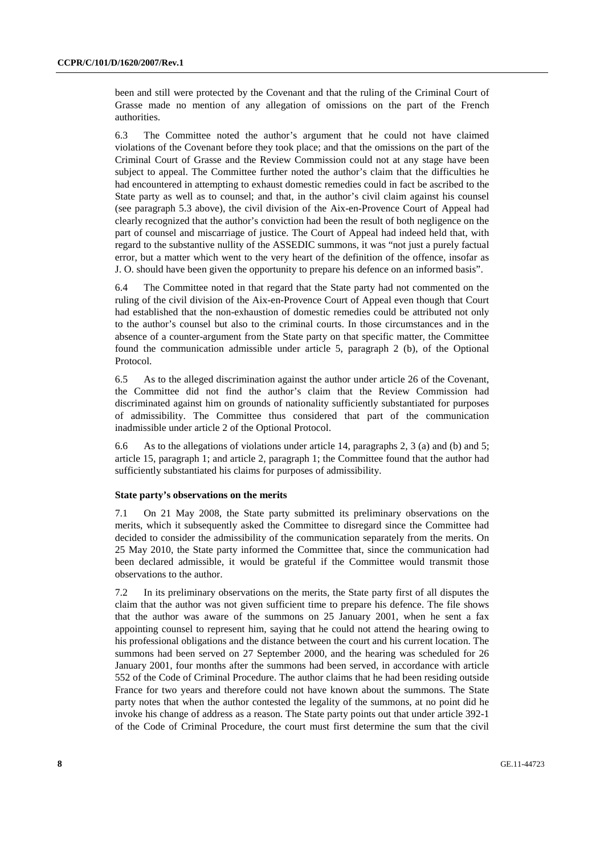been and still were protected by the Covenant and that the ruling of the Criminal Court of Grasse made no mention of any allegation of omissions on the part of the French authorities.

6.3 The Committee noted the author's argument that he could not have claimed violations of the Covenant before they took place; and that the omissions on the part of the Criminal Court of Grasse and the Review Commission could not at any stage have been subject to appeal. The Committee further noted the author's claim that the difficulties he had encountered in attempting to exhaust domestic remedies could in fact be ascribed to the State party as well as to counsel; and that, in the author's civil claim against his counsel (see paragraph 5.3 above), the civil division of the Aix-en-Provence Court of Appeal had clearly recognized that the author's conviction had been the result of both negligence on the part of counsel and miscarriage of justice. The Court of Appeal had indeed held that, with regard to the substantive nullity of the ASSEDIC summons, it was "not just a purely factual error, but a matter which went to the very heart of the definition of the offence, insofar as J. O. should have been given the opportunity to prepare his defence on an informed basis".

6.4 The Committee noted in that regard that the State party had not commented on the ruling of the civil division of the Aix-en-Provence Court of Appeal even though that Court had established that the non-exhaustion of domestic remedies could be attributed not only to the author's counsel but also to the criminal courts. In those circumstances and in the absence of a counter-argument from the State party on that specific matter, the Committee found the communication admissible under article 5, paragraph 2 (b), of the Optional Protocol.

6.5 As to the alleged discrimination against the author under article 26 of the Covenant, the Committee did not find the author's claim that the Review Commission had discriminated against him on grounds of nationality sufficiently substantiated for purposes of admissibility. The Committee thus considered that part of the communication inadmissible under article 2 of the Optional Protocol.

6.6 As to the allegations of violations under article 14, paragraphs 2, 3 (a) and (b) and 5; article 15, paragraph 1; and article 2, paragraph 1; the Committee found that the author had sufficiently substantiated his claims for purposes of admissibility.

#### **State party's observations on the merits**

7.1 On 21 May 2008, the State party submitted its preliminary observations on the merits, which it subsequently asked the Committee to disregard since the Committee had decided to consider the admissibility of the communication separately from the merits. On 25 May 2010, the State party informed the Committee that, since the communication had been declared admissible, it would be grateful if the Committee would transmit those observations to the author.

7.2 In its preliminary observations on the merits, the State party first of all disputes the claim that the author was not given sufficient time to prepare his defence. The file shows that the author was aware of the summons on 25 January 2001, when he sent a fax appointing counsel to represent him, saying that he could not attend the hearing owing to his professional obligations and the distance between the court and his current location. The summons had been served on 27 September 2000, and the hearing was scheduled for 26 January 2001, four months after the summons had been served, in accordance with article 552 of the Code of Criminal Procedure. The author claims that he had been residing outside France for two years and therefore could not have known about the summons. The State party notes that when the author contested the legality of the summons, at no point did he invoke his change of address as a reason. The State party points out that under article 392-1 of the Code of Criminal Procedure, the court must first determine the sum that the civil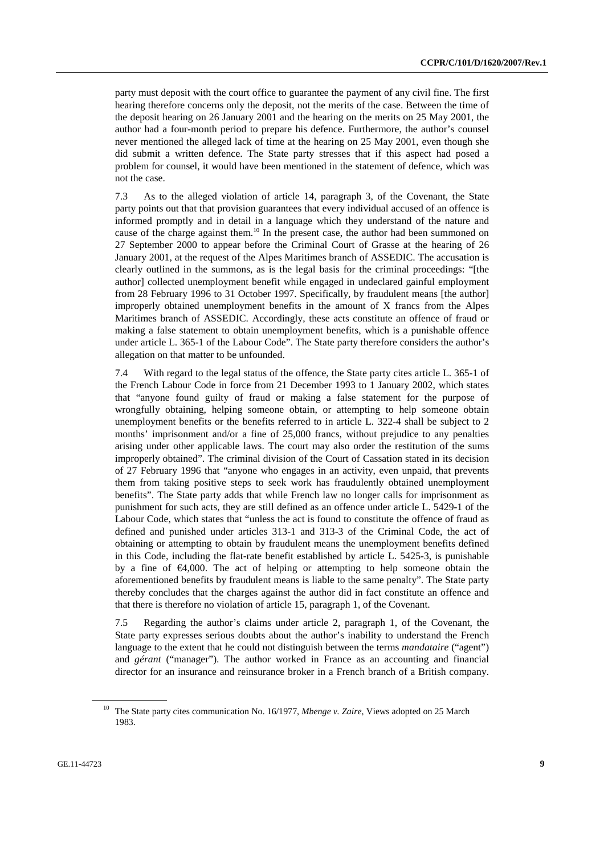party must deposit with the court office to guarantee the payment of any civil fine. The first hearing therefore concerns only the deposit, not the merits of the case. Between the time of the deposit hearing on 26 January 2001 and the hearing on the merits on 25 May 2001, the author had a four-month period to prepare his defence. Furthermore, the author's counsel never mentioned the alleged lack of time at the hearing on 25 May 2001, even though she did submit a written defence. The State party stresses that if this aspect had posed a problem for counsel, it would have been mentioned in the statement of defence, which was not the case.

7.3 As to the alleged violation of article 14, paragraph 3, of the Covenant, the State party points out that that provision guarantees that every individual accused of an offence is informed promptly and in detail in a language which they understand of the nature and cause of the charge against them.<sup>10</sup> In the present case, the author had been summoned on 27 September 2000 to appear before the Criminal Court of Grasse at the hearing of 26 January 2001, at the request of the Alpes Maritimes branch of ASSEDIC. The accusation is clearly outlined in the summons, as is the legal basis for the criminal proceedings: "[the author] collected unemployment benefit while engaged in undeclared gainful employment from 28 February 1996 to 31 October 1997. Specifically, by fraudulent means [the author] improperly obtained unemployment benefits in the amount of X francs from the Alpes Maritimes branch of ASSEDIC. Accordingly, these acts constitute an offence of fraud or making a false statement to obtain unemployment benefits, which is a punishable offence under article L. 365-1 of the Labour Code". The State party therefore considers the author's allegation on that matter to be unfounded.

7.4 With regard to the legal status of the offence, the State party cites article L. 365-1 of the French Labour Code in force from 21 December 1993 to 1 January 2002, which states that "anyone found guilty of fraud or making a false statement for the purpose of wrongfully obtaining, helping someone obtain, or attempting to help someone obtain unemployment benefits or the benefits referred to in article L. 322-4 shall be subject to 2 months' imprisonment and/or a fine of 25,000 francs, without prejudice to any penalties arising under other applicable laws. The court may also order the restitution of the sums improperly obtained". The criminal division of the Court of Cassation stated in its decision of 27 February 1996 that "anyone who engages in an activity, even unpaid, that prevents them from taking positive steps to seek work has fraudulently obtained unemployment benefits". The State party adds that while French law no longer calls for imprisonment as punishment for such acts, they are still defined as an offence under article L. 5429-1 of the Labour Code, which states that "unless the act is found to constitute the offence of fraud as defined and punished under articles 313-1 and 313-3 of the Criminal Code, the act of obtaining or attempting to obtain by fraudulent means the unemployment benefits defined in this Code, including the flat-rate benefit established by article L. 5425-3, is punishable by a fine of  $\epsilon$ 4,000. The act of helping or attempting to help someone obtain the aforementioned benefits by fraudulent means is liable to the same penalty". The State party thereby concludes that the charges against the author did in fact constitute an offence and that there is therefore no violation of article 15, paragraph 1, of the Covenant.

7.5 Regarding the author's claims under article 2, paragraph 1, of the Covenant, the State party expresses serious doubts about the author's inability to understand the French language to the extent that he could not distinguish between the terms *mandataire* ("agent") and *gérant* ("manager"). The author worked in France as an accounting and financial director for an insurance and reinsurance broker in a French branch of a British company.

<sup>10</sup> The State party cites communication No. 16/1977, *Mbenge v. Zaire*, Views adopted on 25 March 1983.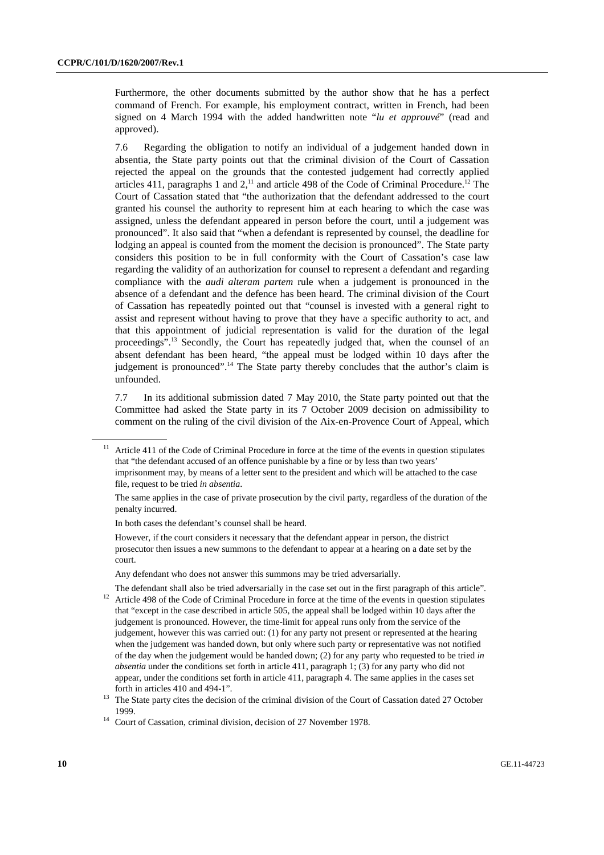Furthermore, the other documents submitted by the author show that he has a perfect command of French. For example, his employment contract, written in French, had been signed on 4 March 1994 with the added handwritten note "*lu et approuvé*" (read and approved).

7.6 Regarding the obligation to notify an individual of a judgement handed down in absentia, the State party points out that the criminal division of the Court of Cassation rejected the appeal on the grounds that the contested judgement had correctly applied articles 411, paragraphs 1 and  $2<sup>11</sup>$  and article 498 of the Code of Criminal Procedure.<sup>12</sup> The Court of Cassation stated that "the authorization that the defendant addressed to the court granted his counsel the authority to represent him at each hearing to which the case was assigned, unless the defendant appeared in person before the court, until a judgement was pronounced". It also said that "when a defendant is represented by counsel, the deadline for lodging an appeal is counted from the moment the decision is pronounced". The State party considers this position to be in full conformity with the Court of Cassation's case law regarding the validity of an authorization for counsel to represent a defendant and regarding compliance with the *audi alteram partem* rule when a judgement is pronounced in the absence of a defendant and the defence has been heard. The criminal division of the Court of Cassation has repeatedly pointed out that "counsel is invested with a general right to assist and represent without having to prove that they have a specific authority to act, and that this appointment of judicial representation is valid for the duration of the legal proceedings".13 Secondly, the Court has repeatedly judged that, when the counsel of an absent defendant has been heard, "the appeal must be lodged within 10 days after the judgement is pronounced".<sup>14</sup> The State party thereby concludes that the author's claim is unfounded.

7.7 In its additional submission dated 7 May 2010, the State party pointed out that the Committee had asked the State party in its 7 October 2009 decision on admissibility to comment on the ruling of the civil division of the Aix-en-Provence Court of Appeal, which

 The same applies in the case of private prosecution by the civil party, regardless of the duration of the penalty incurred.

In both cases the defendant's counsel shall be heard.

 However, if the court considers it necessary that the defendant appear in person, the district prosecutor then issues a new summons to the defendant to appear at a hearing on a date set by the court.

Any defendant who does not answer this summons may be tried adversarially.

The defendant shall also be tried adversarially in the case set out in the first paragraph of this article".<br><sup>12</sup> Article 498 of the Code of Criminal Procedure in force at the time of the events in question stipulates that "except in the case described in article 505, the appeal shall be lodged within 10 days after the judgement is pronounced. However, the time-limit for appeal runs only from the service of the judgement, however this was carried out: (1) for any party not present or represented at the hearing when the judgement was handed down, but only where such party or representative was not notified of the day when the judgement would be handed down; (2) for any party who requested to be tried *in absentia* under the conditions set forth in article 411, paragraph 1; (3) for any party who did not appear, under the conditions set forth in article 411, paragraph 4. The same applies in the cases set

<sup>&</sup>lt;sup>11</sup> Article 411 of the Code of Criminal Procedure in force at the time of the events in question stipulates that "the defendant accused of an offence punishable by a fine or by less than two years' imprisonment may, by means of a letter sent to the president and which will be attached to the case file, request to be tried *in absentia*.

forth in articles 410 and 494-1".<br><sup>13</sup> The State party cites the decision of the criminal division of the Court of Cassation dated 27 October 1999. 14 Court of Cassation, criminal division, decision of 27 November 1978.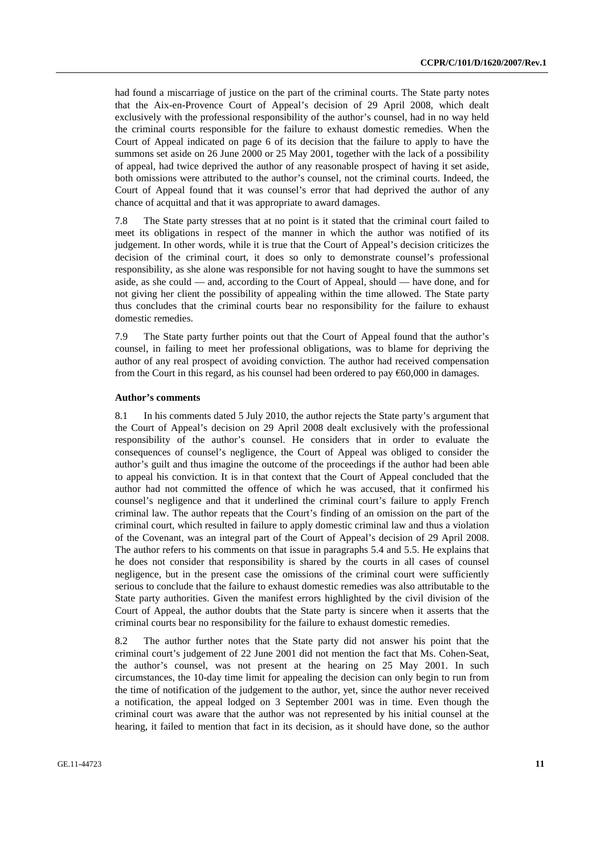had found a miscarriage of justice on the part of the criminal courts. The State party notes that the Aix-en-Provence Court of Appeal's decision of 29 April 2008, which dealt exclusively with the professional responsibility of the author's counsel, had in no way held the criminal courts responsible for the failure to exhaust domestic remedies. When the Court of Appeal indicated on page 6 of its decision that the failure to apply to have the summons set aside on 26 June 2000 or 25 May 2001, together with the lack of a possibility of appeal, had twice deprived the author of any reasonable prospect of having it set aside, both omissions were attributed to the author's counsel, not the criminal courts. Indeed, the Court of Appeal found that it was counsel's error that had deprived the author of any chance of acquittal and that it was appropriate to award damages.

7.8 The State party stresses that at no point is it stated that the criminal court failed to meet its obligations in respect of the manner in which the author was notified of its judgement. In other words, while it is true that the Court of Appeal's decision criticizes the decision of the criminal court, it does so only to demonstrate counsel's professional responsibility, as she alone was responsible for not having sought to have the summons set aside, as she could — and, according to the Court of Appeal, should — have done, and for not giving her client the possibility of appealing within the time allowed. The State party thus concludes that the criminal courts bear no responsibility for the failure to exhaust domestic remedies.

7.9 The State party further points out that the Court of Appeal found that the author's counsel, in failing to meet her professional obligations, was to blame for depriving the author of any real prospect of avoiding conviction. The author had received compensation from the Court in this regard, as his counsel had been ordered to pay  $\epsilon$ 60,000 in damages.

#### **Author's comments**

8.1 In his comments dated 5 July 2010, the author rejects the State party's argument that the Court of Appeal's decision on 29 April 2008 dealt exclusively with the professional responsibility of the author's counsel. He considers that in order to evaluate the consequences of counsel's negligence, the Court of Appeal was obliged to consider the author's guilt and thus imagine the outcome of the proceedings if the author had been able to appeal his conviction. It is in that context that the Court of Appeal concluded that the author had not committed the offence of which he was accused, that it confirmed his counsel's negligence and that it underlined the criminal court's failure to apply French criminal law. The author repeats that the Court's finding of an omission on the part of the criminal court, which resulted in failure to apply domestic criminal law and thus a violation of the Covenant, was an integral part of the Court of Appeal's decision of 29 April 2008. The author refers to his comments on that issue in paragraphs 5.4 and 5.5. He explains that he does not consider that responsibility is shared by the courts in all cases of counsel negligence, but in the present case the omissions of the criminal court were sufficiently serious to conclude that the failure to exhaust domestic remedies was also attributable to the State party authorities. Given the manifest errors highlighted by the civil division of the Court of Appeal, the author doubts that the State party is sincere when it asserts that the criminal courts bear no responsibility for the failure to exhaust domestic remedies.

8.2 The author further notes that the State party did not answer his point that the criminal court's judgement of 22 June 2001 did not mention the fact that Ms. Cohen-Seat, the author's counsel, was not present at the hearing on 25 May 2001. In such circumstances, the 10-day time limit for appealing the decision can only begin to run from the time of notification of the judgement to the author, yet, since the author never received a notification, the appeal lodged on 3 September 2001 was in time. Even though the criminal court was aware that the author was not represented by his initial counsel at the hearing, it failed to mention that fact in its decision, as it should have done, so the author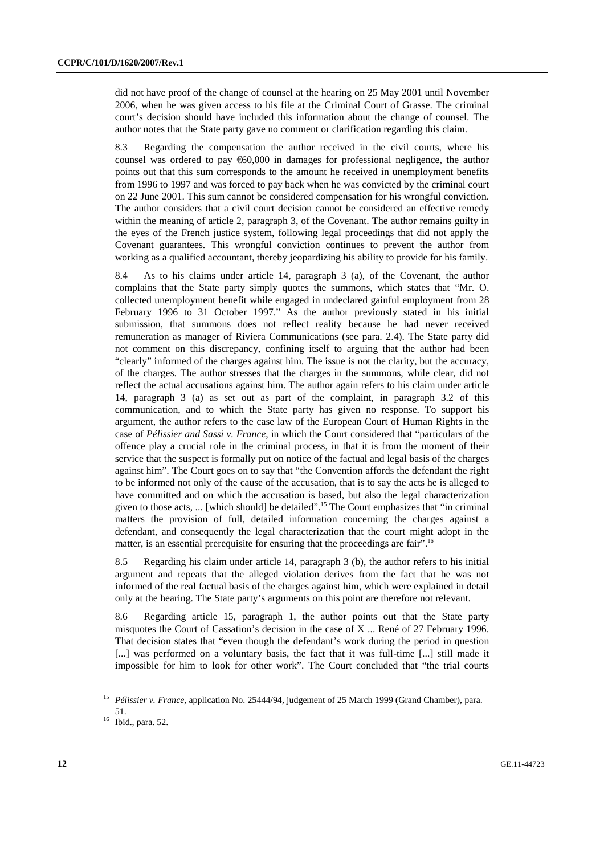did not have proof of the change of counsel at the hearing on 25 May 2001 until November 2006, when he was given access to his file at the Criminal Court of Grasse. The criminal court's decision should have included this information about the change of counsel. The author notes that the State party gave no comment or clarification regarding this claim.

8.3 Regarding the compensation the author received in the civil courts, where his counsel was ordered to pay  $\epsilon$ 60,000 in damages for professional negligence, the author points out that this sum corresponds to the amount he received in unemployment benefits from 1996 to 1997 and was forced to pay back when he was convicted by the criminal court on 22 June 2001. This sum cannot be considered compensation for his wrongful conviction. The author considers that a civil court decision cannot be considered an effective remedy within the meaning of article 2, paragraph 3, of the Covenant. The author remains guilty in the eyes of the French justice system, following legal proceedings that did not apply the Covenant guarantees. This wrongful conviction continues to prevent the author from working as a qualified accountant, thereby jeopardizing his ability to provide for his family.

8.4 As to his claims under article 14, paragraph 3 (a), of the Covenant, the author complains that the State party simply quotes the summons, which states that "Mr. O. collected unemployment benefit while engaged in undeclared gainful employment from 28 February 1996 to 31 October 1997." As the author previously stated in his initial submission, that summons does not reflect reality because he had never received remuneration as manager of Riviera Communications (see para. 2.4). The State party did not comment on this discrepancy, confining itself to arguing that the author had been "clearly" informed of the charges against him. The issue is not the clarity, but the accuracy, of the charges. The author stresses that the charges in the summons, while clear, did not reflect the actual accusations against him. The author again refers to his claim under article 14, paragraph 3 (a) as set out as part of the complaint, in paragraph 3.2 of this communication, and to which the State party has given no response. To support his argument, the author refers to the case law of the European Court of Human Rights in the case of *Pélissier and Sassi v. France*, in which the Court considered that "particulars of the offence play a crucial role in the criminal process, in that it is from the moment of their service that the suspect is formally put on notice of the factual and legal basis of the charges against him". The Court goes on to say that "the Convention affords the defendant the right to be informed not only of the cause of the accusation, that is to say the acts he is alleged to have committed and on which the accusation is based, but also the legal characterization given to those acts, ... [which should] be detailed".15 The Court emphasizes that "in criminal matters the provision of full, detailed information concerning the charges against a defendant, and consequently the legal characterization that the court might adopt in the matter, is an essential prerequisite for ensuring that the proceedings are fair".<sup>16</sup>

8.5 Regarding his claim under article 14, paragraph 3 (b), the author refers to his initial argument and repeats that the alleged violation derives from the fact that he was not informed of the real factual basis of the charges against him, which were explained in detail only at the hearing. The State party's arguments on this point are therefore not relevant.

8.6 Regarding article 15, paragraph 1, the author points out that the State party misquotes the Court of Cassation's decision in the case of X ... René of 27 February 1996. That decision states that "even though the defendant's work during the period in question [...] was performed on a voluntary basis, the fact that it was full-time [...] still made it impossible for him to look for other work". The Court concluded that "the trial courts

<sup>&</sup>lt;sup>15</sup> *Pélissier v. France*, application No. 25444/94, judgement of 25 March 1999 (Grand Chamber), para. 51. 16 Ibid., para. 52.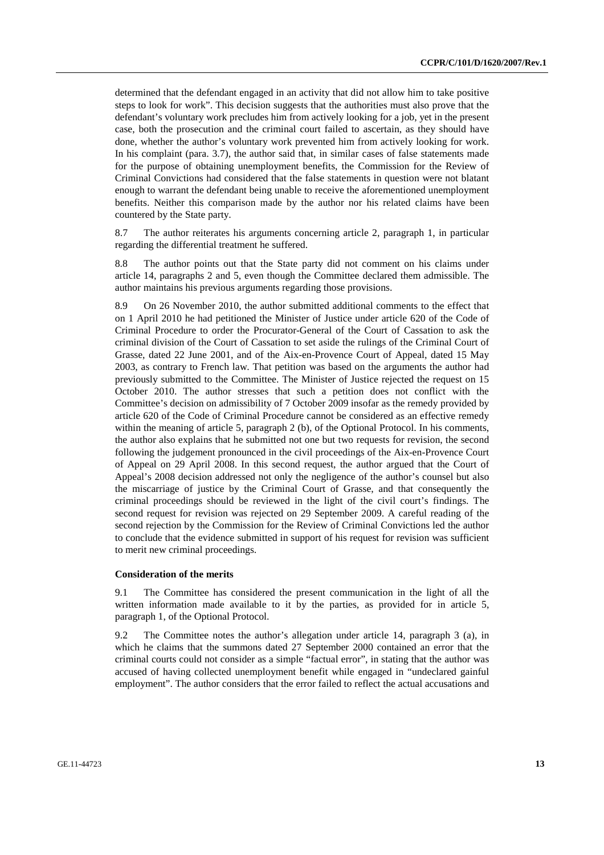determined that the defendant engaged in an activity that did not allow him to take positive steps to look for work". This decision suggests that the authorities must also prove that the defendant's voluntary work precludes him from actively looking for a job, yet in the present case, both the prosecution and the criminal court failed to ascertain, as they should have done, whether the author's voluntary work prevented him from actively looking for work. In his complaint (para. 3.7), the author said that, in similar cases of false statements made for the purpose of obtaining unemployment benefits, the Commission for the Review of Criminal Convictions had considered that the false statements in question were not blatant enough to warrant the defendant being unable to receive the aforementioned unemployment benefits. Neither this comparison made by the author nor his related claims have been countered by the State party.

8.7 The author reiterates his arguments concerning article 2, paragraph 1, in particular regarding the differential treatment he suffered.

8.8 The author points out that the State party did not comment on his claims under article 14, paragraphs 2 and 5, even though the Committee declared them admissible. The author maintains his previous arguments regarding those provisions.

8.9 On 26 November 2010, the author submitted additional comments to the effect that on 1 April 2010 he had petitioned the Minister of Justice under article 620 of the Code of Criminal Procedure to order the Procurator-General of the Court of Cassation to ask the criminal division of the Court of Cassation to set aside the rulings of the Criminal Court of Grasse, dated 22 June 2001, and of the Aix-en-Provence Court of Appeal, dated 15 May 2003, as contrary to French law. That petition was based on the arguments the author had previously submitted to the Committee. The Minister of Justice rejected the request on 15 October 2010. The author stresses that such a petition does not conflict with the Committee's decision on admissibility of 7 October 2009 insofar as the remedy provided by article 620 of the Code of Criminal Procedure cannot be considered as an effective remedy within the meaning of article 5, paragraph 2 (b), of the Optional Protocol. In his comments, the author also explains that he submitted not one but two requests for revision, the second following the judgement pronounced in the civil proceedings of the Aix-en-Provence Court of Appeal on 29 April 2008. In this second request, the author argued that the Court of Appeal's 2008 decision addressed not only the negligence of the author's counsel but also the miscarriage of justice by the Criminal Court of Grasse, and that consequently the criminal proceedings should be reviewed in the light of the civil court's findings. The second request for revision was rejected on 29 September 2009. A careful reading of the second rejection by the Commission for the Review of Criminal Convictions led the author to conclude that the evidence submitted in support of his request for revision was sufficient to merit new criminal proceedings.

#### **Consideration of the merits**

9.1 The Committee has considered the present communication in the light of all the written information made available to it by the parties, as provided for in article 5, paragraph 1, of the Optional Protocol.

9.2 The Committee notes the author's allegation under article 14, paragraph 3 (a), in which he claims that the summons dated 27 September 2000 contained an error that the criminal courts could not consider as a simple "factual error", in stating that the author was accused of having collected unemployment benefit while engaged in "undeclared gainful employment". The author considers that the error failed to reflect the actual accusations and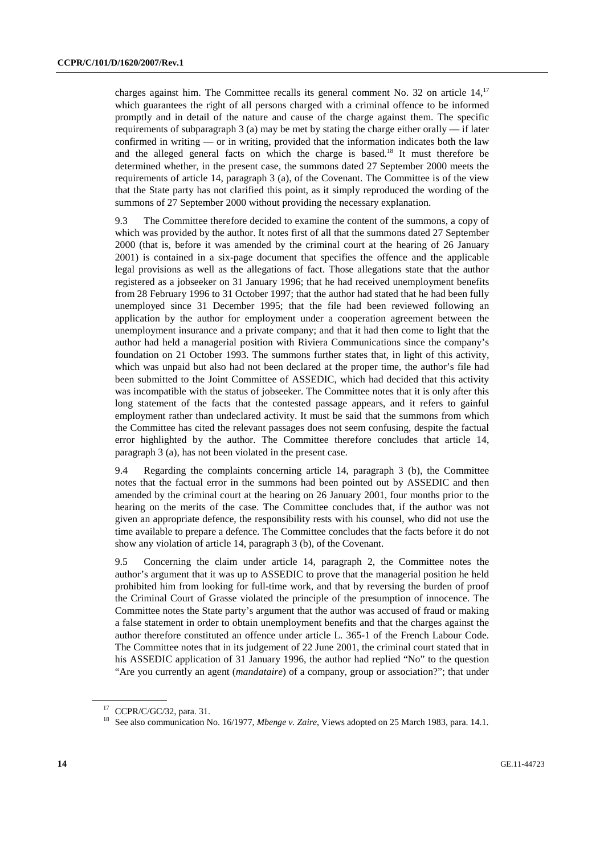charges against him. The Committee recalls its general comment No. 32 on article  $14$ ,<sup>17</sup> which guarantees the right of all persons charged with a criminal offence to be informed promptly and in detail of the nature and cause of the charge against them. The specific requirements of subparagraph 3 (a) may be met by stating the charge either orally  $-$  if later confirmed in writing — or in writing, provided that the information indicates both the law and the alleged general facts on which the charge is based.<sup>18</sup> It must therefore be determined whether, in the present case, the summons dated 27 September 2000 meets the requirements of article 14, paragraph 3 (a), of the Covenant. The Committee is of the view that the State party has not clarified this point, as it simply reproduced the wording of the summons of 27 September 2000 without providing the necessary explanation.

9.3 The Committee therefore decided to examine the content of the summons, a copy of which was provided by the author. It notes first of all that the summons dated 27 September 2000 (that is, before it was amended by the criminal court at the hearing of 26 January 2001) is contained in a six-page document that specifies the offence and the applicable legal provisions as well as the allegations of fact. Those allegations state that the author registered as a jobseeker on 31 January 1996; that he had received unemployment benefits from 28 February 1996 to 31 October 1997; that the author had stated that he had been fully unemployed since 31 December 1995; that the file had been reviewed following an application by the author for employment under a cooperation agreement between the unemployment insurance and a private company; and that it had then come to light that the author had held a managerial position with Riviera Communications since the company's foundation on 21 October 1993. The summons further states that, in light of this activity, which was unpaid but also had not been declared at the proper time, the author's file had been submitted to the Joint Committee of ASSEDIC, which had decided that this activity was incompatible with the status of jobseeker. The Committee notes that it is only after this long statement of the facts that the contested passage appears, and it refers to gainful employment rather than undeclared activity. It must be said that the summons from which the Committee has cited the relevant passages does not seem confusing, despite the factual error highlighted by the author. The Committee therefore concludes that article 14, paragraph 3 (a), has not been violated in the present case.

9.4 Regarding the complaints concerning article 14, paragraph 3 (b), the Committee notes that the factual error in the summons had been pointed out by ASSEDIC and then amended by the criminal court at the hearing on 26 January 2001, four months prior to the hearing on the merits of the case. The Committee concludes that, if the author was not given an appropriate defence, the responsibility rests with his counsel, who did not use the time available to prepare a defence. The Committee concludes that the facts before it do not show any violation of article 14, paragraph 3 (b), of the Covenant.

9.5 Concerning the claim under article 14, paragraph 2, the Committee notes the author's argument that it was up to ASSEDIC to prove that the managerial position he held prohibited him from looking for full-time work, and that by reversing the burden of proof the Criminal Court of Grasse violated the principle of the presumption of innocence. The Committee notes the State party's argument that the author was accused of fraud or making a false statement in order to obtain unemployment benefits and that the charges against the author therefore constituted an offence under article L. 365-1 of the French Labour Code. The Committee notes that in its judgement of 22 June 2001, the criminal court stated that in his ASSEDIC application of 31 January 1996, the author had replied "No" to the question "Are you currently an agent (*mandataire*) of a company, group or association?"; that under

<sup>17</sup> CCPR/C/GC/32, para. 31.

<sup>18</sup> See also communication No. 16/1977, *Mbenge v. Zaire*, Views adopted on 25 March 1983, para. 14.1.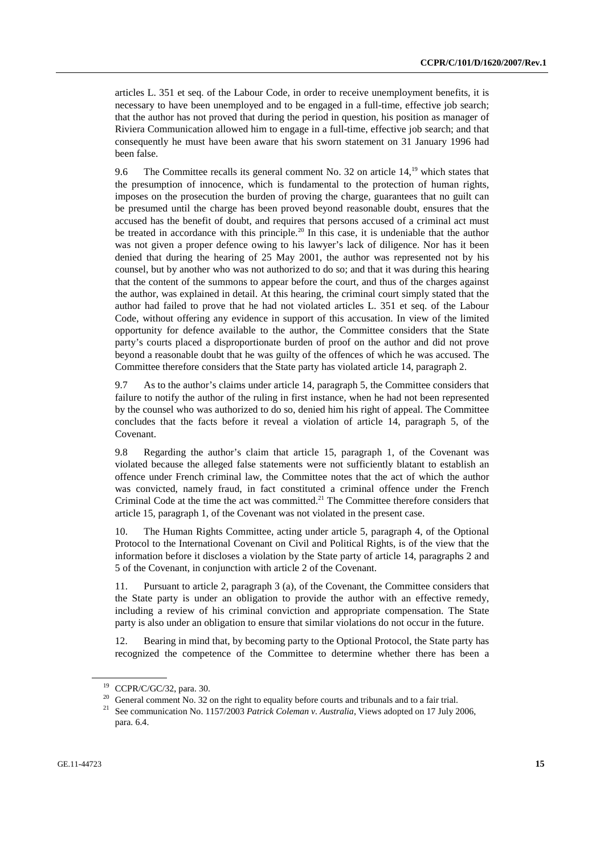articles L. 351 et seq. of the Labour Code, in order to receive unemployment benefits, it is necessary to have been unemployed and to be engaged in a full-time, effective job search; that the author has not proved that during the period in question, his position as manager of Riviera Communication allowed him to engage in a full-time, effective job search; and that consequently he must have been aware that his sworn statement on 31 January 1996 had been false.

9.6 The Committee recalls its general comment No. 32 on article  $14<sup>19</sup>$ , which states that the presumption of innocence, which is fundamental to the protection of human rights, imposes on the prosecution the burden of proving the charge, guarantees that no guilt can be presumed until the charge has been proved beyond reasonable doubt, ensures that the accused has the benefit of doubt, and requires that persons accused of a criminal act must be treated in accordance with this principle.<sup>20</sup> In this case, it is undeniable that the author was not given a proper defence owing to his lawyer's lack of diligence. Nor has it been denied that during the hearing of 25 May 2001, the author was represented not by his counsel, but by another who was not authorized to do so; and that it was during this hearing that the content of the summons to appear before the court, and thus of the charges against the author, was explained in detail. At this hearing, the criminal court simply stated that the author had failed to prove that he had not violated articles L. 351 et seq. of the Labour Code, without offering any evidence in support of this accusation. In view of the limited opportunity for defence available to the author, the Committee considers that the State party's courts placed a disproportionate burden of proof on the author and did not prove beyond a reasonable doubt that he was guilty of the offences of which he was accused. The Committee therefore considers that the State party has violated article 14, paragraph 2.

9.7 As to the author's claims under article 14, paragraph 5, the Committee considers that failure to notify the author of the ruling in first instance, when he had not been represented by the counsel who was authorized to do so, denied him his right of appeal. The Committee concludes that the facts before it reveal a violation of article 14, paragraph 5, of the Covenant.

9.8 Regarding the author's claim that article 15, paragraph 1, of the Covenant was violated because the alleged false statements were not sufficiently blatant to establish an offence under French criminal law, the Committee notes that the act of which the author was convicted, namely fraud, in fact constituted a criminal offence under the French Criminal Code at the time the act was committed.<sup>21</sup> The Committee therefore considers that article 15, paragraph 1, of the Covenant was not violated in the present case.

10. The Human Rights Committee, acting under article 5, paragraph 4, of the Optional Protocol to the International Covenant on Civil and Political Rights, is of the view that the information before it discloses a violation by the State party of article 14, paragraphs 2 and 5 of the Covenant, in conjunction with article 2 of the Covenant.

11. Pursuant to article 2, paragraph 3 (a), of the Covenant, the Committee considers that the State party is under an obligation to provide the author with an effective remedy, including a review of his criminal conviction and appropriate compensation. The State party is also under an obligation to ensure that similar violations do not occur in the future.

12. Bearing in mind that, by becoming party to the Optional Protocol, the State party has recognized the competence of the Committee to determine whether there has been a

<sup>19</sup> CCPR/C/GC/32, para. 30.

<sup>&</sup>lt;sup>20</sup> General comment No. 32 on the right to equality before courts and tribunals and to a fair trial.

<sup>&</sup>lt;sup>21</sup> See communication No. 1157/2003 *Patrick Coleman v. Australia*, Views adopted on 17 July 2006, para. 6.4.